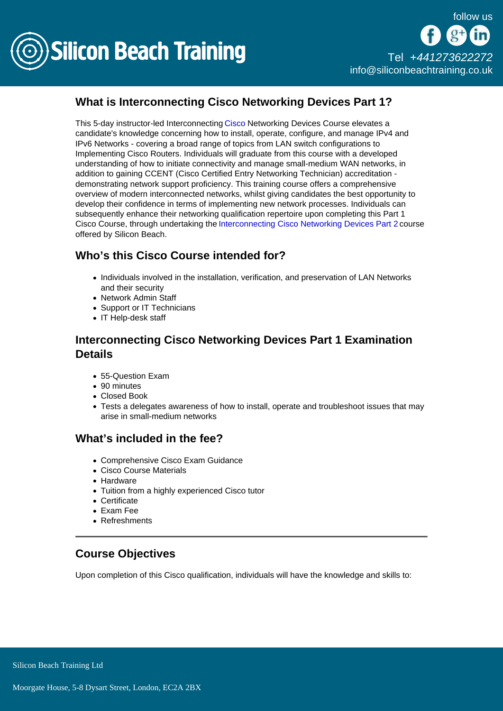

# What is Interconnecting Cisco Networking Devices Part 1?

This 5-day instructor-led Interconnecting [Cisco](/cisco-training) Networking Devices Course elevates a candidate's knowledge concerning how to install, operate, configure, and manage IPv4 and IPv6 Networks - covering a broad range of topics from LAN switch configurations to Implementing Cisco Routers. Individuals will graduate from this course with a developed understanding of how to initiate connectivity and manage small-medium WAN networks, in addition to gaining CCENT (Cisco Certified Entry Networking Technician) accreditation demonstrating network support proficiency. This training course offers a comprehensive overview of modern interconnected networks, whilst giving candidates the best opportunity to develop their confidence in terms of implementing new network processes. Individuals can subsequently enhance their networking qualification repertoire upon completing this Part 1 Cisco Course, through undertaking the [Interconnecting Cisco Networking Devices Part 2](/cisco-training/interconnecting-cisco-networking-devices-part-2) course offered by Silicon Beach.

# Who's this Cisco Course intended for?

- Individuals involved in the installation, verification, and preservation of LAN Networks and their security
- Network Admin Staff
- Support or IT Technicians
- IT Help-desk staff

## Interconnecting Cisco Networking Devices Part 1 Examination **Details**

- 55-Question Exam
- 90 minutes
- Closed Book
- Tests a delegates awareness of how to install, operate and troubleshoot issues that may arise in small-medium networks

## What's included in the fee?

- Comprehensive Cisco Exam Guidance
- Cisco Course Materials
- Hardware
- Tuition from a highly experienced Cisco tutor
- Certificate
- Exam Fee
- Refreshments

## Course Objectives

Upon completion of this Cisco qualification, individuals will have the knowledge and skills to: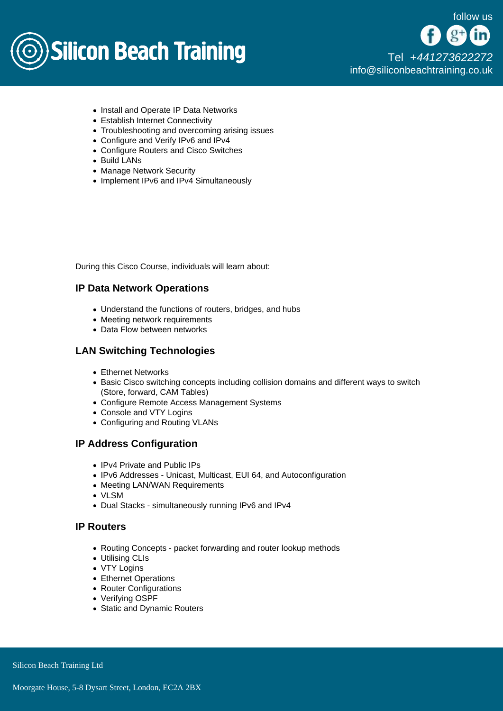

- Install and Operate IP Data Networks
- Establish Internet Connectivity
- Troubleshooting and overcoming arising issues
- Configure and Verify IPv6 and IPv4
- Configure Routers and Cisco Switches
- Build LANs
- Manage Network Security
- Implement IPv6 and IPv4 Simultaneously

During this Cisco Course, individuals will learn about:

### IP Data Network Operations

- Understand the functions of routers, bridges, and hubs
- Meeting network requirements
- Data Flow between networks

### LAN Switching Technologies

- Ethernet Networks
- **Basic Cisco switching concepts including collision domains and different ways to switch** (Store, forward, CAM Tables)
- Configure Remote Access Management Systems
- Console and VTY Logins
- Configuring and Routing VLANs

### IP Address Configuration

- IPv4 Private and Public IPs
- IPv6 Addresses Unicast, Multicast, EUI 64, and Autoconfiguration
- Meeting LAN/WAN Requirements
- VLSM
- Dual Stacks simultaneously running IPv6 and IPv4

## IP Routers

- Routing Concepts packet forwarding and router lookup methods
- Utilising CLIs
- VTY Logins
- Ethernet Operations
- Router Configurations
- Verifying OSPF
- Static and Dynamic Routers

Silicon Beach Training Ltd